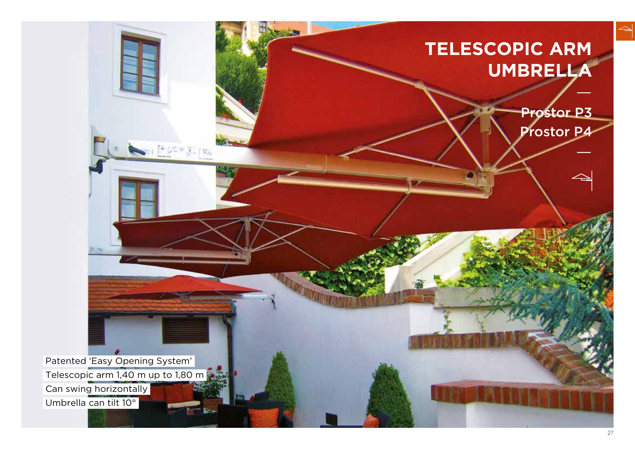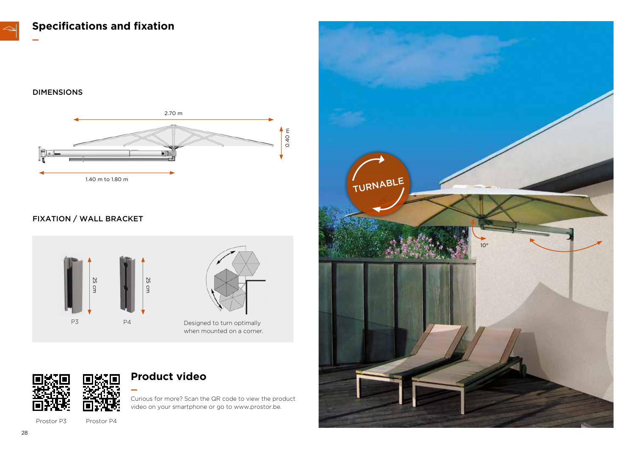**Specifications and fixation**

#### DIMENSIONS

**—**



#### FIXATION / WALL BRACKET





when mounted on a corner.



Prostor P3 Prostor P4

# **Product video**

**—**

Curious for more? Scan the QR code to view the product video on your smartphone or go to www.prostor.be.

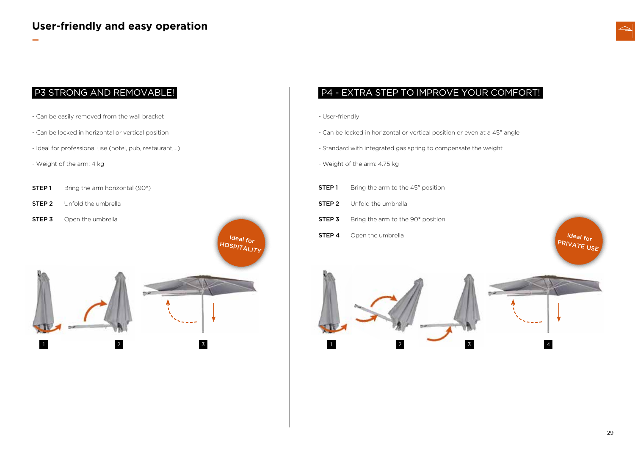

- Can be easily removed from the wall bracket
- Can be locked in horizontal or vertical position
- Ideal for professional use (hotel, pub, restaurant,…)
- Weight of the arm: 4 kg

**—**

- **STEP 1** Bring the arm horizontal (90°)
- **STEP 2** Unfold the umbrella
- 



### P3 STRONG AND REMOVABLE! <br>
P4 - EXTRA STEP TO IMPROVE YOUR COMFORT!

- User-friendly
- Can be locked in horizontal or vertical position or even at a 45° angle
- Standard with integrated gas spring to compensate the weight
- Weight of the arm: 4.75 kg
- **STEP 1** Bring the arm to the 45° position
- **STEP 2** Unfold the umbrella
- **STEP 3** Bring the arm to the 90° position
- **STEP 4** Open the umbrella

ideal for PRIVATE USE